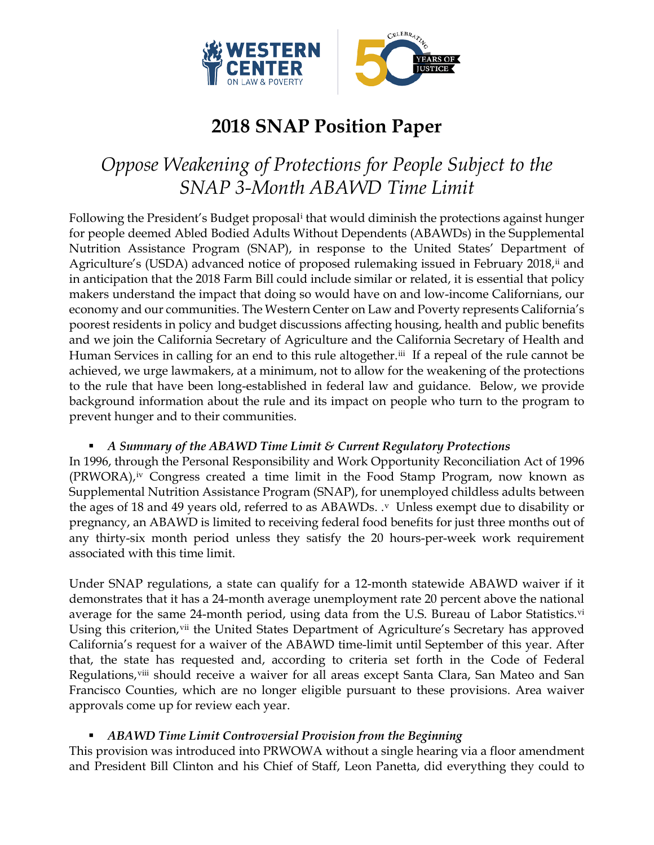

# **2018 SNAP Position Paper**

# *Oppose Weakening of Protections for People Subject to the SNAP 3-Month ABAWD Time Limit*

Following the President's Budget proposal<sup>i</sup> that would diminish the protections against hunger for people deemed Abled Bodied Adults Without Dependents (ABAWDs) in the Supplemental Nutrition Assistance Program (SNAP), in response to the United States' Department of Agriculture's (USDA) advanced notice of proposed rulemaking issued in February 2018,<sup>[ii](#page-4-1)</sup> and in anticipation that the 2018 Farm Bill could include similar or related, it is essential that policy makers understand the impact that doing so would have on and low-income Californians, our economy and our communities. The Western Center on Law and Poverty represents California's poorest residents in policy and budget discussions affecting housing, health and public benefits and we join the California Secretary of Agriculture and the California Secretary of Health and Human Services in calling for an end to this rule altogether.<sup>[iii](#page-4-2)</sup> If a repeal of the rule cannot be achieved, we urge lawmakers, at a minimum, not to allow for the weakening of the protections to the rule that have been long-established in federal law and guidance. Below, we provide background information about the rule and its impact on people who turn to the program to prevent hunger and to their communities.

# *A Summary of the ABAWD Time Limit & Current Regulatory Protections*

In 1996, through the Personal Responsibility and Work Opportunity Reconciliation Act of 1996 (PRWORA),<sup>[iv](#page-4-3)</sup> Congress created a time limit in the Food Stamp Program, now known as Supplemental Nutrition Assistance Program (SNAP), for unemployed childless adults between the ages of 18 and 49 years old, referred to as ABAWDs.  $\cdot$  Unless exempt due to disability or pregnancy, an ABAWD is limited to receiving federal food benefits for just three months out of any thirty-six month period unless they satisfy the 20 hours-per-week work requirement associated with this time limit.

Under SNAP regulations, a state can qualify for a 12-month statewide ABAWD waiver if it demonstrates that it has a 24-month average unemployment rate 20 percent above the national average for the same 24-month period, using data from the U.S. Bureau of Labor Statistics.<sup>[vi](#page-4-5)</sup> Using this criterion, [vii](#page-4-6) the United States Department of Agriculture's Secretary has approved California's request for a waiver of the ABAWD time-limit until September of this year. After that, the state has requested and, according to criteria set forth in the Code of Federal Regulations, iii should receive a waiver for all areas except Santa Clara, San Mateo and San Francisco Counties, which are no longer eligible pursuant to these provisions. Area waiver approvals come up for review each year.

# *ABAWD Time Limit Controversial Provision from the Beginning*

This provision was introduced into PRWOWA without a single hearing via a floor amendment and President Bill Clinton and his Chief of Staff, Leon Panetta, did everything they could to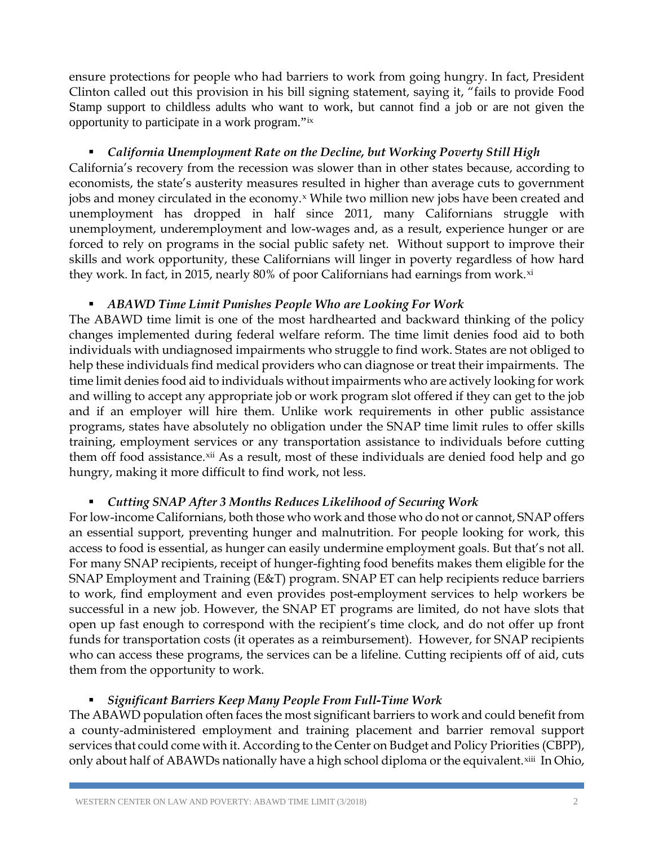ensure protections for people who had barriers to work from going hungry. In fact, President Clinton called out this provision in his bill signing statement, saying it, "fails to provide Food Stamp support to childless adults who want to work, but cannot find a job or are not given the opportunity to participate in a work program."[ix](#page-5-0)

## *California Unemployment Rate on the Decline, but Working Poverty Still High*

California's recovery from the recession was slower than in other states because, according to economists, the state's austerity measures resulted in higher than average cuts to government jobs and money circulated in the economy.<sup>[x](#page-5-1)</sup> While two million new jobs have been created and unemployment has dropped in half since 2011, many Californians struggle with unemployment, underemployment and low-wages and, as a result, experience hunger or are forced to rely on programs in the social public safety net. Without support to improve their skills and work opportunity, these Californians will linger in poverty regardless of how hard they work. In fact, in 2015, nearly 80% of poor Californians had earnings from work. $x_i$ 

## *ABAWD Time Limit Punishes People Who are Looking For Work*

The ABAWD time limit is one of the most hardhearted and backward thinking of the policy changes implemented during federal welfare reform. The time limit denies food aid to both individuals with undiagnosed impairments who struggle to find work. States are not obliged to help these individuals find medical providers who can diagnose or treat their impairments. The time limit denies food aid to individuals without impairments who are actively looking for work and willing to accept any appropriate job or work program slot offered if they can get to the job and if an employer will hire them. Unlike work requirements in other public assistance programs, states have absolutely no obligation under the SNAP time limit rules to offer skills training, employment services or any transportation assistance to individuals before cutting them off food assistance.[xii](#page-5-3) As a result, most of these individuals are denied food help and go hungry, making it more difficult to find work, not less.

# *Cutting SNAP After 3 Months Reduces Likelihood of Securing Work*

For low-income Californians, both those who work and those who do not or cannot, SNAP offers an essential support, preventing hunger and malnutrition. For people looking for work, this access to food is essential, as hunger can easily undermine employment goals. But that's not all. For many SNAP recipients, receipt of hunger-fighting food benefits makes them eligible for the SNAP Employment and Training (E&T) program. SNAP ET can help recipients reduce barriers to work, find employment and even provides post-employment services to help workers be successful in a new job. However, the SNAP ET programs are limited, do not have slots that open up fast enough to correspond with the recipient's time clock, and do not offer up front funds for transportation costs (it operates as a reimbursement). However, for SNAP recipients who can access these programs, the services can be a lifeline. Cutting recipients off of aid, cuts them from the opportunity to work.

# *Significant Barriers Keep Many People From Full-Time Work*

The ABAWD population often faces the most significant barriers to work and could benefit from a county-administered employment and training placement and barrier removal support services that could come with it. According to the Center on Budget and Policy Priorities (CBPP), only about half of ABAWDs nationally have a high school diploma or the equivalent.<sup>[xiii](#page-5-4)</sup> In Ohio,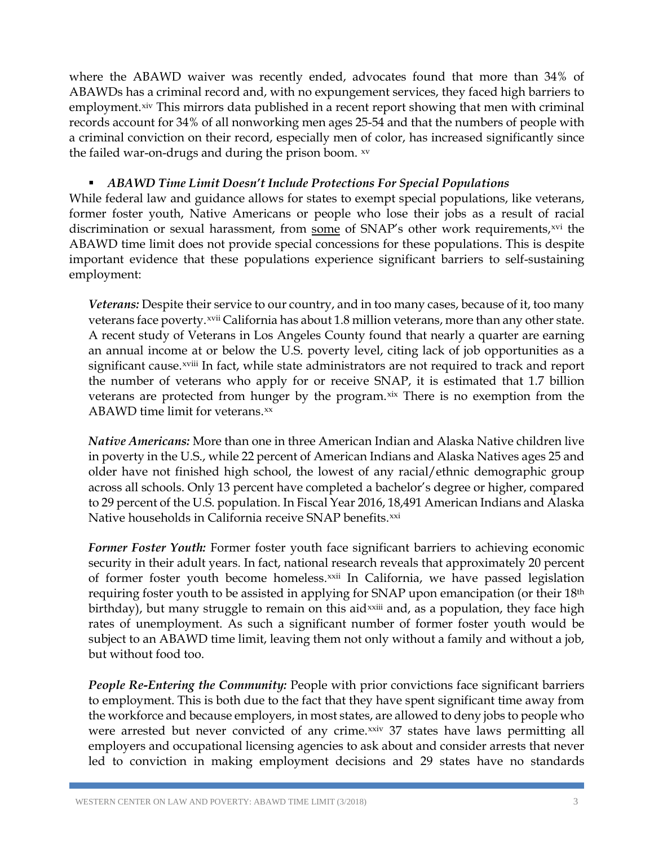where the ABAWD waiver was recently ended, advocates found that more than 34% of ABAWDs has a criminal record and, with no expungement services, they faced high barriers to employment.<sup>[xiv](#page-6-0)</sup> This mirrors data published in a recent report showing that men with criminal records account for 34% of all nonworking men ages 25-54 and that the numbers of people with a criminal conviction on their record, especially men of color, has increased significantly since the failed war-on-drugs and during the prison boom. [xv](#page-6-1)

## *ABAWD Time Limit Doesn't Include Protections For Special Populations*

While federal law and guidance allows for states to exempt special populations, like veterans, former foster youth, Native Americans or people who lose their jobs as a result of racial discrimination or sexual harassment, from some of SNAP's other work requirements,<sup>[xvi](#page-6-2)</sup> the ABAWD time limit does not provide special concessions for these populations. This is despite important evidence that these populations experience significant barriers to self-sustaining employment:

*Veterans:* Despite their service to our country, and in too many cases, because of it, too many veterans face poverty.<sup>[xvii](#page-6-3)</sup> California has about 1.8 million veterans, more than any other state. significant cause.<sup>xviii</sup> [I](#page-6-4)n fact, while state administrators are not required to track and report A recent study of Veterans in Los Angeles County found that nearly a quarter are earning an annual income at or below the U.S. poverty level, citing lack of job opportunities as a the number of veterans who apply for or receive SNAP, it is estimated that 1.7 billion veterans are protected from hunger by the program.[xix](#page-6-5) There is no exemption from the ABAWD time limit for veterans.[xx](#page-6-6)

*Native Americans:* More than one in three American Indian and Alaska Native children live in poverty in the U.S., while 22 percent of American Indians and Alaska Natives ages 25 and older have not finished high school, the lowest of any racial/ethnic demographic group across all schools. Only 13 percent have completed a bachelor's degree or higher, compared to 29 percent of the U.S. population. In Fiscal Year 2016, 18,491 American Indians and Alaska Native households in California receive SNAP benefits.<sup>[xxi](#page-6-7)</sup>

*Former Foster Youth:* Former foster youth face significant barriers to achieving economic security in their adult years. In fact, national research reveals that approximately 20 percent of former foster youth become homeless.<sup>[xxii](#page-6-8)</sup> In California, we have passed legislation birthday), but many struggle to remain on this aid<sup>xxiii</sup> and, as a population, they face high requiring foster youth to be assisted in applying for S[N](#page-6-9)AP upon emancipation (or their 18<sup>th</sup>) rates of unemployment. As such a significant number of former foster youth would be subject to an ABAWD time limit, leaving them not only without a family and without a job, but without food too.

*People Re-Entering the Community:* People with prior convictions face significant barriers to employment. This is both due to the fact that they have spent significant time away from the workforce and because employers, in most states, are allowed to deny jobs to people who were arrested but never convicted of any crime.[xxiv](#page-6-10) 37 states have laws permitting all employers and occupational licensing agencies to ask about and consider arrests that never led to conviction in making employment decisions and 29 states have no standards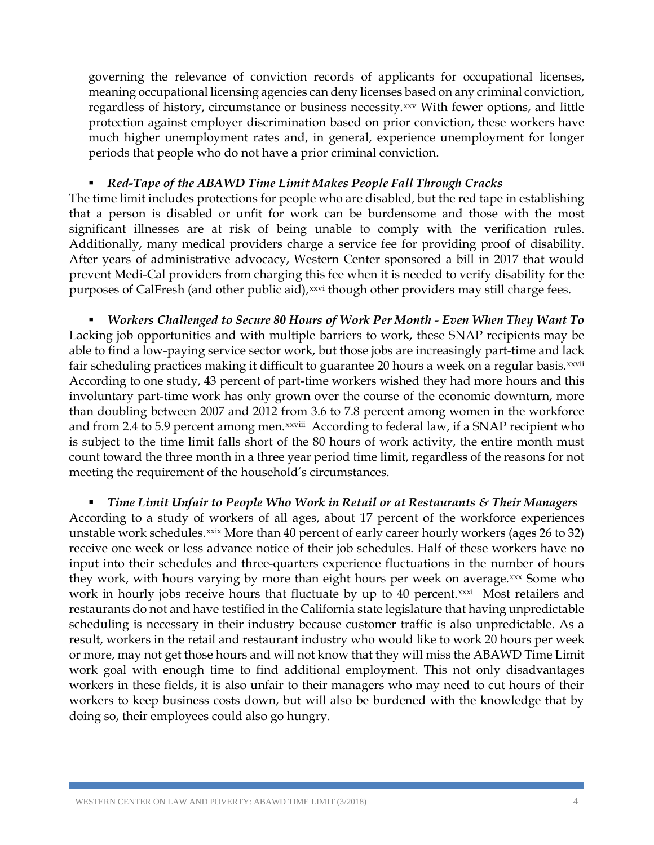governing the relevance of conviction records of applicants for occupational licenses, meaning occupational licensing agencies can deny licenses based on any criminal conviction, regardless of history, circumstance or business necessity.<sup>[xxv](#page-6-11)</sup> With fewer options, and little protection against employer discrimination based on prior conviction, these workers have much higher unemployment rates and, in general, experience unemployment for longer periods that people who do not have a prior criminal conviction.

## *Red-Tape of the ABAWD Time Limit Makes People Fall Through Cracks*

The time limit includes protections for people who are disabled, but the red tape in establishing that a person is disabled or unfit for work can be burdensome and those with the most significant illnesses are at risk of being unable to comply with the verification rules. Additionally, many medical providers charge a service fee for providing proof of disability. After years of administrative advocacy, Western Center sponsored a bill in 2017 that would prevent Medi-Cal providers from charging this fee when it is needed to verify disability for the purposes of CalFresh (and other public aid),<sup>[xxvi](#page-6-12)</sup> though other providers may still charge fees.

 *Workers Challenged to Secure 80 Hours of Work Per Month - Even When They Want To* Lacking job opportunities and with multiple barriers to work, these SNAP recipients may be able to find a low-paying service sector work, but those jobs are increasingly part-time and lack fairscheduling practices making it difficult to guarantee 20 hours a week on a regular basis.¤vvii and from 2.4 to 5.9 percent among men.<sup>xxviii</sup> [A](#page-6-14)ccording to federal law, if a SNAP recipient who According to one study, 43 percent of part-time workers wished they had more hours and this involuntary part-time work has only grown over the course of the economic downturn, more than doubling between 2007 and 2012 from 3.6 to 7.8 percent among women in the workforce is subject to the time limit falls short of the 80 hours of work activity, the entire month must count toward the three month in a three year period time limit, regardless of the reasons for not meeting the requirement of the household's circumstances.

 *Time Limit Unfair to People Who Work in Retail or at Restaurants & Their Managers* According to a study of workers of all ages, about 17 percent of the workforce experiences unstable work schedules.<sup>[xxix](#page-6-15)</sup> More than 40 percent of early career hourly workers (ages 26 to 32) receive one week or less advance notice of their job schedules. Half of these workers have no input into their schedules and three-quarters experience fluctuations in the number of hours they work, with hours varying by more than eight hours per week on average.<sup>[xxx](#page-6-16)</sup> Some who work in hourly jobs receive hours that fluctuate by up to 40 percent.[xxxi](#page-6-17) Most retailers and restaurants do not and have testified in the California state legislature that having unpredictable scheduling is necessary in their industry because customer traffic is also unpredictable. As a result, workers in the retail and restaurant industry who would like to work 20 hours per week or more, may not get those hours and will not know that they will miss the ABAWD Time Limit work goal with enough time to find additional employment. This not only disadvantages workers in these fields, it is also unfair to their managers who may need to cut hours of their workers to keep business costs down, but will also be burdened with the knowledge that by doing so, their employees could also go hungry.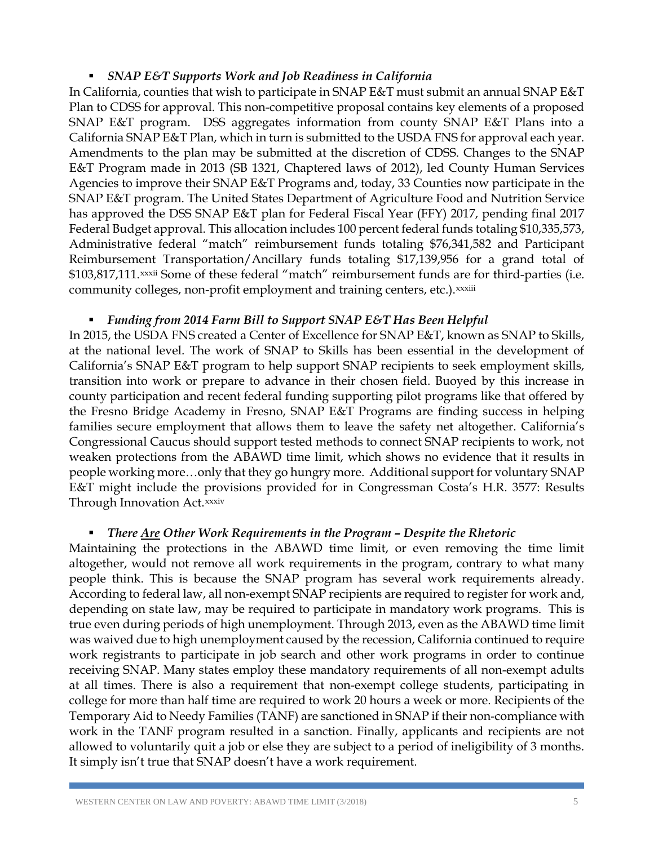### *SNAP E&T Supports Work and Job Readiness in California*

In California, counties that wish to participate in SNAP E&T must submit an annual SNAP E&T Plan to CDSS for approval. This non-competitive proposal contains key elements of a proposed SNAP E&T program. DSS aggregates information from county SNAP E&T Plans into a California SNAP E&T Plan, which in turn is submitted to the USDA FNS for approval each year. Amendments to the plan may be submitted at the discretion of CDSS. Changes to the SNAP E&T Program made in 2013 (SB 1321, Chaptered laws of 2012), led County Human Services Agencies to improve their SNAP E&T Programs and, today, 33 Counties now participate in the SNAP E&T program. The United States Department of Agriculture Food and Nutrition Service has approved the DSS SNAP E&T plan for Federal Fiscal Year (FFY) 2017, pending final 2017 Federal Budget approval. This allocation includes 100 percent federal funds totaling \$10,335,573, Administrative federal "match" reimbursement funds totaling \$76,341,582 and Participant ReimbursementTransportation/Ancillary funds totaling \$17,139,956 for a grand total of \$103,817,111.xxxii Some of these federal "match" reimbursement funds are for third-parties (i.e. commun[i](#page-6-19)ty colleges, non-profit employment and training centers, etc.).<sup>xxxiii</sup>

### *Funding from 2014 Farm Bill to Support SNAP E&T Has Been Helpful*

<span id="page-4-1"></span><span id="page-4-0"></span>In 2015, the USDA FNS created a Center of Excellence for SNAP E&T, known as SNAP to Skills, at the national level. The work of SNAP to Skills has been essential in the development of California's SNAP E&T program to help support SNAP recipients to seek employment skills, transition into work or prepare to advance in their chosen field. Buoyed by this increase in county participation and recent federal funding supporting pilot programs like that offered by the Fresno Bridge Academy in Fresno, SNAP E&T Programs are finding success in helping families secure employment that allows them to leave the safety net altogether. California's Congressional Caucus should support tested methods to connect SNAP recipients to work, not weaken protections from the ABAWD time limit, which shows no evidence that it results in people working more…only that they go hungry more. Additional support for voluntary SNAP E&T might include the provisions provided for in Congressman Costa's H.R. 3577: Results Through Inno[v](#page-6-20)ation Act. xxxiv

#### *There Are Other Work Requirements in the Program – Despite the Rhetoric*

<span id="page-4-7"></span><span id="page-4-6"></span><span id="page-4-5"></span><span id="page-4-4"></span><span id="page-4-3"></span><span id="page-4-2"></span>Maintaining the protections in the ABAWD time limit, or even removing the time limit altogether, would not remove all work requirements in the program, contrary to what many people think. This is because the SNAP program has several work requirements already. According to federal law, all non-exempt SNAP recipients are required to register for work and, depending on state law, may be required to participate in mandatory work programs. This is true even during periods of high unemployment. Through 2013, even as the ABAWD time limit was waived due to high unemployment caused by the recession, California continued to require work registrants to participate in job search and other work programs in order to continue receiving SNAP. Many states employ these mandatory requirements of all non-exempt adults at all times. There is also a requirement that non-exempt college students, participating in college for more than half time are required to work 20 hours a week or more. Recipients of the Temporary Aid to Needy Families (TANF) are sanctioned in SNAP if their non-compliance with work in the TANF program resulted in a sanction. Finally, applicants and recipients are not allowed to voluntarily quit a job or else they are subject to a period of ineligibility of 3 months. It simply isn't true that SNAP doesn't have a work requirement.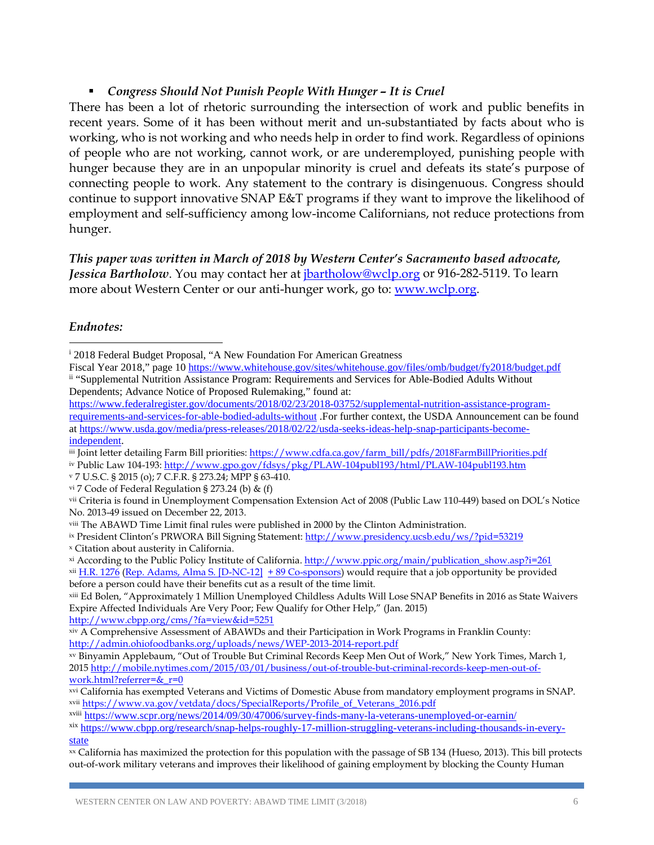## *Congress Should Not Punish People With Hunger – It is Cruel*

There has been a lot of rhetoric surrounding the intersection of work and public benefits in recent years. Some of it has been without merit and un-substantiated by facts about who is working, who is not working and who needs help in order to find work. Regardless of opinions of people who are not working, cannot work, or are underemployed, punishing people with hunger because they are in an unpopular minority is cruel and defeats its state's purpose of connecting people to work. Any statement to the contrary is disingenuous. Congress should continue to support innovative SNAP E&T programs if they want to improve the likelihood of employment and self-sufficiency among low-income Californians, not reduce protections from hunger.

*This paper was written in March of 2018 by Western Center's Sacramento based advocate, Jessica Bartholow*. You may contact her at [jbartholow@wclp.org](mailto:jbartholow@wclp.org) or 916-282-5119. To learn more about Western Center or our anti-hunger work, go to: [www.wclp.org.](http://www.wclp.org/)

### *Endnotes:*

 $\overline{a}$ 

iv Public Law 104-193:<http://www.gpo.gov/fdsys/pkg/PLAW-104publ193/html/PLAW-104publ193.htm>

<sup>v</sup> 7 U.S.C. § 2015 (o); 7 C.F.R. § 273.24; MPP § 63-410.

<span id="page-5-4"></span>xiii Ed Bolen, "Approximately 1 Million Unemployed Childless Adults Will Lose SNAP Benefits in 2016 as State Waivers Expire Affected Individuals Are Very Poor; Few Qualify for Other Help," (Jan. 2015) <http://www.cbpp.org/cms/?fa=view&id=5251>

<sup>i</sup> 2018 Federal Budget Proposal, "A New Foundation For American Greatness

Fiscal Year 2018," page 10<https://www.whitehouse.gov/sites/whitehouse.gov/files/omb/budget/fy2018/budget.pdf> ii "Supplemental Nutrition Assistance Program: Requirements and Services for Able-Bodied Adults Without Dependents; Advance Notice of Proposed Rulemaking," found at:

[https://www.federalregister.gov/documents/2018/02/23/2018-03752/supplemental-nutrition-assistance-program](https://www.federalregister.gov/documents/2018/02/23/2018-03752/supplemental-nutrition-assistance-program-requirements-and-services-for-able-bodied-adults-without)[requirements-and-services-for-able-bodied-adults-without](https://www.federalregister.gov/documents/2018/02/23/2018-03752/supplemental-nutrition-assistance-program-requirements-and-services-for-able-bodied-adults-without) .For further context, the USDA Announcement can be found a[t https://www.usda.gov/media/press-releases/2018/02/22/usda-seeks-ideas-help-snap-participants-become](https://www.usda.gov/media/press-releases/2018/02/22/usda-seeks-ideas-help-snap-participants-become-independent)[independent.](https://www.usda.gov/media/press-releases/2018/02/22/usda-seeks-ideas-help-snap-participants-become-independent)

iii Joint letter detailing Farm Bill priorities[: https://www.cdfa.ca.gov/farm\\_bill/pdfs/2018FarmBillPriorities.pdf](https://www.cdfa.ca.gov/farm_bill/pdfs/2018FarmBillPriorities.pdf)

vi 7 Code of Federal Regulation § 273.24 (b) &  $(f)$ 

vii Criteria is found in Unemployment Compensation Extension Act of 2008 (Public Law 110-449) based on DOL's Notice No. 2013-49 issued on December 22, 2013.

viii The ABAWD Time Limit final rules were published in 2000 by the Clinton Administration.

<span id="page-5-1"></span><span id="page-5-0"></span><sup>&</sup>lt;sup>ix</sup> President Clinton's PRWORA Bill Signing Statement:<http://www.presidency.ucsb.edu/ws/?pid=53219> <sup>x</sup> Citation about austerity in California.

<span id="page-5-2"></span>xi According to the Public Policy Institute of California[. http://www.ppic.org/main/publication\\_show.asp?i=261](http://www.ppic.org/main/publication_show.asp?i=261)

<span id="page-5-3"></span> $xii$  [H.R. 1276](https://www.congress.gov/bill/115th-congress/house-bill/1276?q=%7B%22search%22%3A%5B%22H.R.+1276%22%5D%7D&r=1) [\(Rep. Adams, Alma S. \[D-NC-12\]](https://www.congress.gov/member/alma-adams/A000370?q=%7B%22search%22%3A%5B%22H.R.+1276%22%5D%7D) [+ 89 Co-sponsors\)](https://www.congress.gov/bill/115th-congress/house-bill/1276/cosponsors?q=%7B%22search%22%3A%5B%22H.R.+1276%22%5D%7D&r=1&overview=closed#tabs) would require that a job opportunity be provided before a person could have their benefits cut as a result of the time limit.

xiv A Comprehensive Assessment of ABAWDs and their Participation in Work Programs in Franklin County: <http://admin.ohiofoodbanks.org/uploads/news/WEP-2013-2014-report.pdf>

xv Binyamin Applebaum, "Out of Trouble But Criminal Records Keep Men Out of Work," New York Times, March 1, 2015 [http://mobile.nytimes.com/2015/03/01/business/out-of-trouble-but-criminal-records-keep-men-out-of](http://mobile.nytimes.com/2015/03/01/business/out-of-trouble-but-criminal-records-keep-men-out-of-work.html?referrer=&_r=0)[work.html?referrer=&\\_r=0](http://mobile.nytimes.com/2015/03/01/business/out-of-trouble-but-criminal-records-keep-men-out-of-work.html?referrer=&_r=0)

xvi California has exempted Veterans and Victims of Domestic Abuse from mandatory employment programs in SNAP. xvii [https://www.va.gov/vetdata/docs/SpecialReports/Profile\\_of\\_Veterans\\_2016.pdf](https://www.va.gov/vetdata/docs/SpecialReports/Profile_of_Veterans_2016.pdf)

xviii <https://www.scpr.org/news/2014/09/30/47006/survey-finds-many-la-veterans-unemployed-or-earnin/>

xix [https://www.cbpp.org/research/snap-helps-roughly-17-million-struggling-veterans-including-thousands-in-every](https://www.cbpp.org/research/snap-helps-roughly-17-million-struggling-veterans-including-thousands-in-every-state)[state](https://www.cbpp.org/research/snap-helps-roughly-17-million-struggling-veterans-including-thousands-in-every-state)

xx California has maximized the protection for this population with the passage of SB 134 (Hueso, 2013). This bill protects out-of-work military veterans and improves their likelihood of gaining employment by blocking the County Human